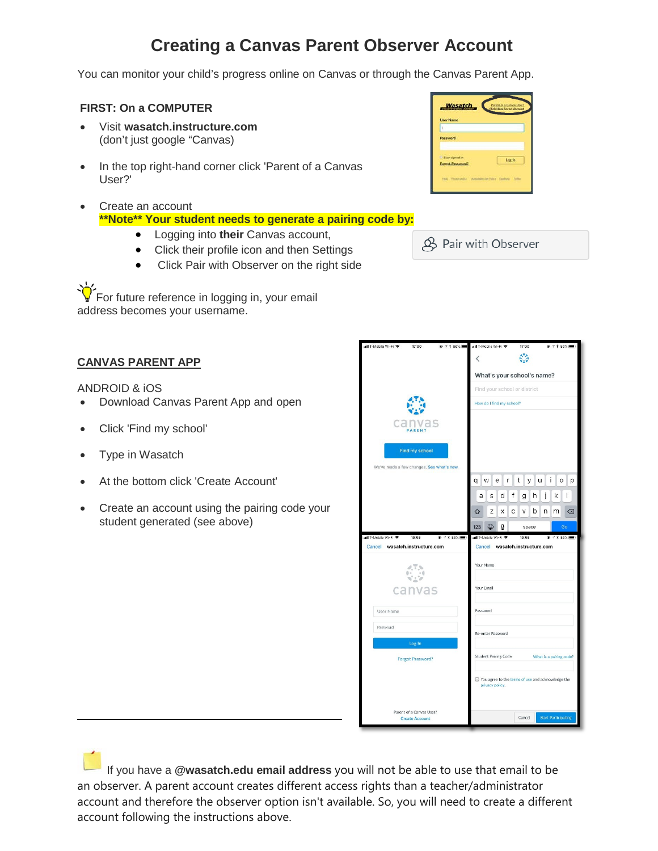# **Creating a Canvas Parent Observer Account**

You can monitor your child's progress online on Canvas or through the Canvas Parent App.

## **FIRST: On a COMPUTER**

- Visit **wasatch.instructure.com** (don't just google "Canvas)
- In the top right-hand corner click 'Parent of a Canvas User?'
- Create an account **\*\*Note\*\* Your student needs to generate a pairing code by:**
	- Logging into **their** Canvas account,
	- Click their profile icon and then Settings
	- Click Pair with Observer on the right side

For future reference in logging in, your email address becomes your username.

### **CANVAS PARENT APP**

ANDROID & iOS

- Download Canvas Parent App and open
- Click 'Find my school'
- Type in Wasatch
- At the bottom click 'Create Account'
- Create an account using the pairing code your student generated (see above)

| <b>User Name</b>         |        |
|--------------------------|--------|
|                          |        |
| Password                 |        |
|                          |        |
| <b>I. Stay signed in</b> | Log in |
| Forgot Password?         |        |
|                          |        |



| nil T-Mobile Wi-Fi 우<br>17:00<br>$0.1*86%$       | nd T-Mobile Wi-Fi 우<br>17:00<br>$@7*86%$                               |
|--------------------------------------------------|------------------------------------------------------------------------|
|                                                  | O<br>K                                                                 |
|                                                  |                                                                        |
|                                                  | What's your school's name?                                             |
|                                                  | Find your school or district                                           |
|                                                  | How do I find my school?                                               |
|                                                  |                                                                        |
| canvas<br>PARENT                                 |                                                                        |
|                                                  |                                                                        |
| <b>Find my school</b>                            |                                                                        |
| We've made a few changes. See what's new.        |                                                                        |
|                                                  | i<br>W<br>e<br>t<br>O<br>p<br>q<br>У                                   |
|                                                  | f<br>d<br>j<br>k<br>ı<br>S<br>g<br>h<br>a                              |
|                                                  | b<br>Z<br>X<br>С<br>n<br>m<br> ⊗<br>↷<br>٧                             |
|                                                  | 123<br>⊜<br>O<br>Go<br>space                                           |
| ull T-Mobile Wi-Fi 우<br>16:59<br><b>© イオ86%■</b> | ndl T-Mobile Wi-Fi 우<br>16:59<br>$0.7 * 86%$                           |
| Cancel wasatch.instructure.com                   | Cancel wasatch.instructure.com                                         |
|                                                  | Your Name                                                              |
|                                                  |                                                                        |
| canvas                                           | Your Email                                                             |
|                                                  |                                                                        |
| User Name                                        | Password                                                               |
| Password                                         |                                                                        |
|                                                  | Re-enter Password                                                      |
| Log In                                           |                                                                        |
|                                                  |                                                                        |
| <b>Forgot Password?</b>                          | <b>Student Pairing Code</b><br>What is a pairing code?                 |
|                                                  | □ You agree to the terms of use and acknowledge the<br>privacy policy. |
| Parent of a Canvas User?                         |                                                                        |

If you have a **@wasatch.edu email address** you will not be able to use that email to be an observer. A parent account creates different access rights than a teacher/administrator account and therefore the observer option isn't available. So, you will need to create a different account following the instructions above.